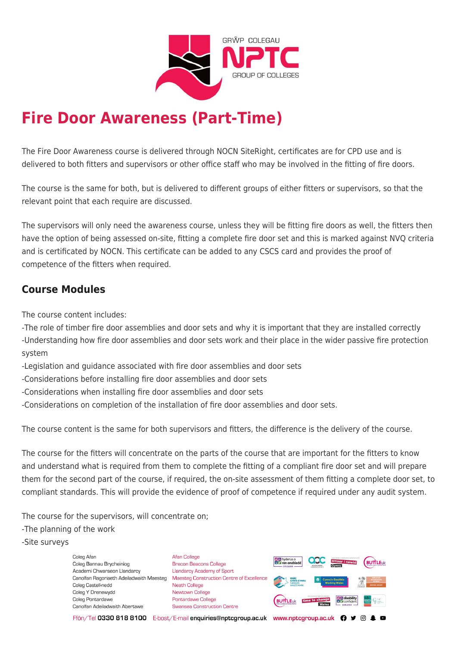

# **Fire Door Awareness (Part-Time)**

The Fire Door Awareness course is delivered through NOCN SiteRight, certificates are for CPD use and is delivered to both fitters and supervisors or other office staff who may be involved in the fitting of fire doors.

The course is the same for both, but is delivered to different groups of either fitters or supervisors, so that the relevant point that each require are discussed.

The supervisors will only need the awareness course, unless they will be fitting fire doors as well, the fitters then have the option of being assessed on-site, fitting a complete fire door set and this is marked against NVQ criteria and is certificated by NOCN. This certificate can be added to any CSCS card and provides the proof of competence of the fitters when required.

# **Course Modules**

The course content includes:

-The role of timber fire door assemblies and door sets and why it is important that they are installed correctly -Understanding how fire door assemblies and door sets work and their place in the wider passive fire protection system

- -Legislation and guidance associated with fire door assemblies and door sets
- -Considerations before installing fire door assemblies and door sets
- -Considerations when installing fire door assemblies and door sets
- -Considerations on completion of the installation of fire door assemblies and door sets.

The course content is the same for both supervisors and fitters, the difference is the delivery of the course.

The course for the fitters will concentrate on the parts of the course that are important for the fitters to know and understand what is required from them to complete the fitting of a compliant fire door set and will prepare them for the second part of the course, if required, the on-site assessment of them fitting a complete door set, to compliant standards. This will provide the evidence of proof of competence if required under any audit system.

The course for the supervisors, will concentrate on;

-The planning of the work

-Site surveys

Coleg Afar Coleg Bannau Brycheiniog Academi Chwaraeon Llandarcy Coleg Castell-nedd Coleg Y Drenewydd Coleg Pontardawe Canolfan Adeiladwaith Abertawe

**Afan College** Brecon Beacons College **Llandarcy Academy of Sport** Canolfan Ragoriaeth Adeiladwaith Maesteg Maesteg Construction Centre of Excellence Neath College Newtown College Pontardawe College Swansea Construction Centre



Ffôn/Tel 0330 818 8100 E-bost/E-mail enquiries@nptcgroup.ac.uk www.nptcgroup.ac.uk ? • © \$